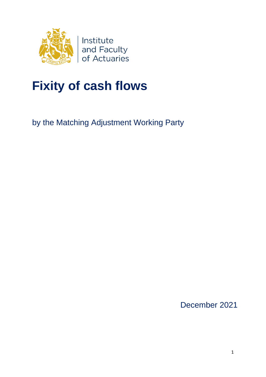

# **Fixity of cash flows**

by the Matching Adjustment Working Party

December 2021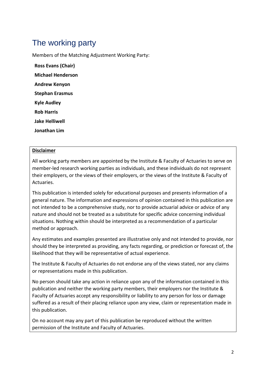## The working party

Members of the Matching Adjustment Working Party:

**Ross Evans (Chair) Michael Henderson Andrew Kenyon Stephan Erasmus Kyle Audley Rob Harris Jake Helliwell Jonathan Lim**

#### **Disclaimer**

All working party members are appointed by the Institute & Faculty of Actuaries to serve on member-led research working parties as individuals, and these individuals do not represent their employers, or the views of their employers, or the views of the Institute & Faculty of Actuaries.

This publication is intended solely for educational purposes and presents information of a general nature. The information and expressions of opinion contained in this publication are not intended to be a comprehensive study, nor to provide actuarial advice or advice of any nature and should not be treated as a substitute for specific advice concerning individual situations. Nothing within should be interpreted as a recommendation of a particular method or approach.

Any estimates and examples presented are illustrative only and not intended to provide, nor should they be interpreted as providing, any facts regarding, or prediction or forecast of, the likelihood that they will be representative of actual experience.

The Institute & Faculty of Actuaries do not endorse any of the views stated, nor any claims or representations made in this publication.

No person should take any action in reliance upon any of the information contained in this publication and neither the working party members, their employers nor the Institute & Faculty of Actuaries accept any responsibility or liability to any person for loss or damage suffered as a result of their placing reliance upon any view, claim or representation made in this publication.

On no account may any part of this publication be reproduced without the written permission of the Institute and Faculty of Actuaries.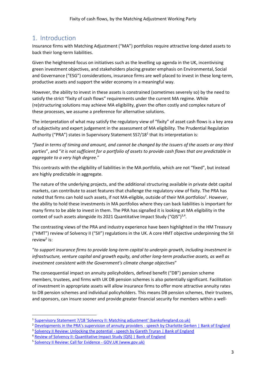## <span id="page-2-0"></span>1. Introduction

Insurance firms with Matching Adjustment ("MA") portfolios require attractive long-dated assets to back their long-term liabilities.

Given the heightened focus on initiatives such as the levelling up agenda in the UK, incentivising green investment objectives, and stakeholders placing greater emphasis on Environmental, Social and Governance ("ESG") considerations, insurance firms are well placed to invest in these long-term, productive assets and support the wider economy in a meaningful way.

However, the ability to invest in these assets is constrained (sometimes severely so) by the need to satisfy the strict "fixity of cash flows" requirements under the current MA regime. While (re)structuring solutions may achieve MA eligibility, given the often costly and complex nature of these processes, we assume a preference for alternative solutions.

The interpretation of what may satisfy the regulatory view of "fixity" of asset cash flows is a key area of subjectivity and expert judgement in the assessment of MA eligibility. The Prudential Regulation Authority ("PRA") states in Supervisory Statement SS7/18<sup>1</sup> that its interpretation is:

"*fixed in terms of timing and amount, and cannot be changed by the issuers of the assets or any third parties*", and "*it is not sufficient for a portfolio of assets to provide cash flows that are predictable in aggregate to a very high degree.*"

This contrasts with the eligibility of liabilities in the MA portfolio, which are not "fixed", but instead are highly predictable in aggregate.

<span id="page-2-1"></span>The nature of the underlying projects, and the additional structuring available in private debt capital markets, can contribute to asset features that challenge the regulatory view of fixity. The PRA has noted that firms can hold such assets, if not MA-eligible, outside of their MA portfolios<sup>2</sup>. However, the ability to hold these investments in MA portfolios where they can back liabilities is important for many firms to be able to invest in them. The PRA has signalled it is looking at MA eligibility in the context of such assets alongside its 2021 Quantitative Impact Study ("QIS") $^{3,4}$ .

<span id="page-2-3"></span><span id="page-2-2"></span>The contrasting views of the PRA and industry experience have been highlighted in the HM Treasury ("HMT") review of Solvency II ("SII") regulations in the UK. A core HMT objective underpinning the SII review<sup>5</sup> is:

<span id="page-2-4"></span>"*to support insurance firms to provide long-term capital to underpin growth, including investment in infrastructure, venture capital and growth equity, and other long-term productive assets, as well as investment consistent with the Government's climate change objectives*"

The consequential impact on annuity policyholders, defined benefit ("DB") pension scheme members, trustees, and firms with UK DB pension schemes is also potentially significant. Facilitation of investment in appropriate assets will allow insurance firms to offer more attractive annuity rates to DB pension schemes and individual policyholders. This means DB pension schemes, their trustees, and sponsors, can insure sooner and provide greater financial security for members within a well-

<sup>&</sup>lt;sup>1</sup> [Supervisory Statement 7/18 'Solvency II: Matching adjustment' \(bankofengland.co.uk\)](https://www.bankofengland.co.uk/-/media/boe/files/prudential-regulation/supervisory-statement/2018/ss718.pdf)

<sup>&</sup>lt;sup>2</sup> [Developments in the PRA's supervision of annuity providers](https://www.bankofengland.co.uk/speech/2021/april/charlotte-gerken-pre-recorded-18th-bulk-annuities-conference) - speech by Charlotte Gerken | Bank of England

<sup>&</sup>lt;sup>3</sup> [Solvency II Review: Unlocking the potential -](https://www.bankofengland.co.uk/speech/2021/september/gareth-truran-speech-at-the-bank-of-america-26-financials-ceo-conference) speech by Gareth Truran | Bank of England

<sup>&</sup>lt;sup>4</sup> [Review of Solvency II: Quantitative Impact Study \(QIS\) | Bank of England](https://www.bankofengland.co.uk/prudential-regulation/key-initiatives/solvency-ii/solvency-ii-reform-quantitative-impact-survey)

<sup>&</sup>lt;sup>5</sup> [Solvency II Review: Call for Evidence -](https://www.gov.uk/government/publications/solvency-ii-review-call-for-evidence) GOV.UK (www.gov.uk)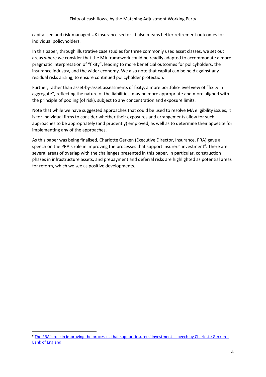capitalised and risk-managed UK insurance sector. It also means better retirement outcomes for individual policyholders.

In this paper, through illustrative case studies for three commonly used asset classes, we set out areas where we consider that the MA framework could be readily adapted to accommodate a more pragmatic interpretation of "fixity", leading to more beneficial outcomes for policyholders, the insurance industry, and the wider economy. We also note that capital can be held against any residual risks arising, to ensure continued policyholder protection.

Further, rather than asset-by-asset assessments of fixity, a more portfolio-level view of "fixity in aggregate", reflecting the nature of the liabilities, may be more appropriate and more aligned with the principle of pooling (of risk), subject to any concentration and exposure limits.

Note that while we have suggested approaches that could be used to resolve MA eligibility issues, it is for individual firms to consider whether their exposures and arrangements allow for such approaches to be appropriately (and prudently) employed, as well as to determine their appetite for implementing any of the approaches.

<span id="page-3-0"></span>As this paper was being finalised, Charlotte Gerken (Executive Director, Insurance, PRA) gave a speech on the PRA's role in improving the processes that support insurers' investment<sup>6</sup>. There are several areas of overlap with the challenges presented in this paper. In particular, construction phases in infrastructure assets, and prepayment and deferral risks are highlighted as potential areas for reform, which we see as positive developments.

<sup>6</sup> [The PRA's role in improving the processes that support insurers' investment](https://www.bankofengland.co.uk/speech/2021/november/charlotte-gerken-keynote-speaker-at-the-insurance-asset-management-conference-2021) - speech by Charlotte Gerken | [Bank of England](https://www.bankofengland.co.uk/speech/2021/november/charlotte-gerken-keynote-speaker-at-the-insurance-asset-management-conference-2021)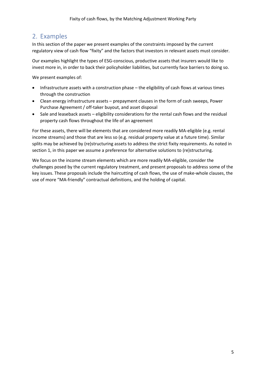## 2. Examples

In this section of the paper we present examples of the constraints imposed by the current regulatory view of cash flow "fixity" and the factors that investors in relevant assets must consider.

Our examples highlight the types of ESG-conscious, productive assets that insurers would like to invest more in, in order to back their policyholder liabilities, but currently face barriers to doing so.

We present examples of:

- Infrastructure assets with a construction phase the eligibility of cash flows at various times through the construction
- Clean energy infrastructure assets prepayment clauses in the form of cash sweeps, Power Purchase Agreement / off-taker buyout, and asset disposal
- Sale and leaseback assets eligibility considerations for the rental cash flows and the residual property cash flows throughout the life of an agreement

For these assets, there will be elements that are considered more readily MA-eligible (e.g. rental income streams) and those that are less so (e.g. residual property value at a future time). Similar splits may be achieved by (re)structuring assets to address the strict fixity requirements. As noted in sectio[n 1,](#page-2-0) in this paper we assume a preference for alternative solutions to (re)structuring.

We focus on the income stream elements which are more readily MA-eligible, consider the challenges posed by the current regulatory treatment, and present proposals to address some of the key issues. These proposals include the haircutting of cash flows, the use of make-whole clauses, the use of more "MA-friendly" contractual definitions, and the holding of capital.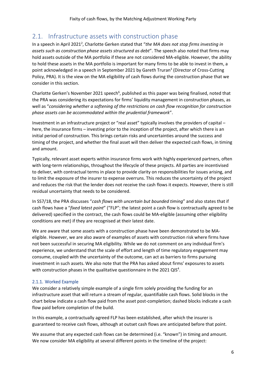## 2.1. Infrastructure assets with construction phase

In a speech in April 202[1](#page-2-1)<sup>2</sup>, Charlotte Gerken stated that "the MA does not stop firms investing in *assets such as construction phase assets structured as debt*". The speech also noted that firms may hold assets outside of the MA portfolio if these are not considered MA-eligible. However, the ability to hold these assets in the MA portfolio is important for many firms to be able to invest in them, a poi[n](#page-2-2)t acknowledged in a speech in September 2021 by Gareth Truran<sup>3</sup> (Director of Cross-Cutting Policy, PRA). It is the view on the MA eligibility of cash flows during the construction phase that we consider in this section.

C[h](#page-3-0)arlotte Gerken's November 2021 speech<sup>6</sup>, published as this paper was being finalised, noted that the PRA was considering its expectations for firms' liquidity management in construction phases, as well as "*considering whether a softening of the restrictions on cash flow recognition for construction phase assets can be accommodated within the prudential framework*".

Investment in an infrastructure project or "real asset" typically involves the providers of capital – here, the insurance firms – investing prior to the inception of the project, after which there is an initial period of construction. This brings certain risks and uncertainties around the success and timing of the project, and whether the final asset will then deliver the expected cash flows, in timing and amount.

Typically, relevant asset experts within insurance firms work with highly experienced partners, often with long-term relationships, throughout the lifecycle of these projects. All parties are incentivised to deliver, with contractual terms in place to provide clarity on responsibilities for issues arising, and to limit the exposure of the insurer to expense overruns. This reduces the uncertainty of the project and reduces the risk that the lender does not receive the cash flows it expects. However, there is still residual uncertainty that needs to be considered.

In SS7/18, the PRA discusses "*cash flows with uncertain but bounded timing*" and also states that if cash flows have a "*fixed latest point*" ("FLP"; the latest point a cash flow is contractually agreed to be delivered) specified in the contract, the cash flows could be MA-eligible (assuming other eligibility conditions are met) if they are recognised at their latest date.

We are aware that some assets with a construction phase have been demonstrated to be MAeligible. However, we are also aware of examples of assets with construction risk where firms have not been successful in securing MA eligibility. While we do not comment on any individual firm's experience, we understand that the scale of effort and length of time regulatory engagement may consume, coupled with the uncertainty of the outcome, can act as barriers to firms pursuing investment in such assets. We also note that the PRA has asked about firms' exposures to assets with construction phases in the qualitative questionnaire in the 2021 QI[S](#page-2-3)<sup>4</sup>.

#### 2.1.1. Worked Example

We consider a relatively simple example of a single firm solely providing the funding for an infrastructure asset that will return a stream of regular, quantifiable cash flows. Solid blocks in the chart below indicate a cash flow paid from the asset post-completion; dashed blocks indicate a cash flow paid before completion of the build.

In this example, a contractually agreed FLP has been established, after which the insurer is guaranteed to receive cash flows, although at outset cash flows are anticipated before that point.

We assume that any expected cash flows can be determined (i.e. "known") in timing and amount. We now consider MA eligibility at several different points in the timeline of the project: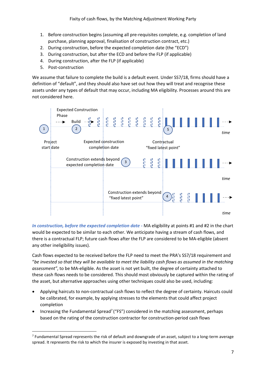- 1. Before construction begins (assuming all pre-requisites complete, e.g. completion of land purchase, planning approval, finalisation of construction contract, etc.)
- 2. During construction, before the expected completion date (the "ECD")
- 3. During construction, but after the ECD and before the FLP (if applicable)
- 4. During construction, after the FLP (if applicable)
- 5. Post-construction

We assume that failure to complete the build is a default event. Under SS7/18, firms should have a definition of "default", and they should also have set out how they will treat and recognise these assets under any types of default that may occur, including MA eligibility. Processes around this are not considered here.



*In construction, before the expected completion date -* MA eligibility at points #1 and #2 in the chart would be expected to be similar to each other. We anticipate having a stream of cash flows, and there is a contractual FLP; future cash flows after the FLP are considered to be MA-eligible (absent any other ineligibility issues).

Cash flows expected to be received before the FLP need to meet the PRA's SS7/18 requirement and "*be invested so that they will be available to meet the liability cash flows as assumed in the matching assessment"*, to be MA-eligible. As the asset is not yet built, the degree of certainty attached to these cash flows needs to be considered. This should most obviously be captured within the rating of the asset, but alternative approaches using other techniques could also be used, including:

- Applying haircuts to non-contractual cash flows to reflect the degree of certainty. Haircuts could be calibrated, for example, by applying stresses to the elements that could affect project completion
- Increasing the Fundamental Spread<sup>7</sup> ("FS") considered in the matching assessment, perhaps based on the rating of the construction contractor for construction-period cash flows

 $^7$  Fundamental Spread represents the risk of default and downgrade of an asset, subject to a long-term average spread. It represents the risk to which the insurer is exposed by investing in that asset.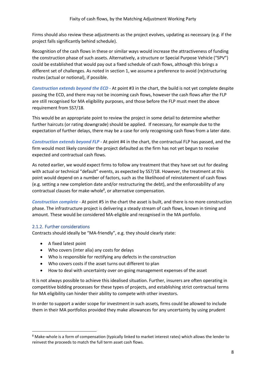Firms should also review these adjustments as the project evolves, updating as necessary (e.g. if the project falls significantly behind schedule).

Recognition of the cash flows in these or similar ways would increase the attractiveness of funding the construction phase of such assets. Alternatively, a structure or Special Purpose Vehicle ("SPV") could be established that would pay out a fixed schedule of cash flows, although this brings a different set of challenges. As noted in section [1,](#page-2-0) we assume a preference to avoid (re)structuring routes (actual or notional), if possible.

*Construction extends beyond the ECD -* At point #3 in the chart, the build is not yet complete despite passing the ECD, and there may not be incoming cash flows, however the cash flows after the FLP are still recognised for MA eligibility purposes, and those before the FLP must meet the above requirement from SS7/18.

This would be an appropriate point to review the project in some detail to determine whether further haircuts (or rating downgrade) should be applied. If necessary, for example due to the expectation of further delays, there may be a case for only recognising cash flows from a later date.

*Construction extends beyond FLP -* At point #4 in the chart, the contractual FLP has passed, and the firm would most likely consider the project defaulted as the firm has not yet begun to receive expected and contractual cash flows.

As noted earlier, we would expect firms to follow any treatment that they have set out for dealing with actual or technical "default" events, as expected by SS7/18. However, the treatment at this point would depend on a number of factors, such as the likelihood of reinstatement of cash flows (e.g. setting a new completion date and/or restructuring the debt), and the enforceability of any contractual clauses for make-whole<sup>8</sup>, or alternative compensation.

*Construction complete -* At point #5 in the chart the asset is built, and there is no more construction phase. The infrastructure project is delivering a steady stream of cash flows, known in timing and amount. These would be considered MA-eligible and recognised in the MA portfolio.

#### 2.1.2. Further considerations

Contracts should ideally be "MA-friendly", e.g. they should clearly state:

- A fixed latest point
- Who covers (inter alia) any costs for delays
- Who is responsible for rectifying any defects in the construction
- Who covers costs if the asset turns out different to plan
- How to deal with uncertainty over on-going management expenses of the asset

It is not always possible to achieve this idealised situation. Further, insurers are often operating in competitive bidding processes for these types of projects, and establishing strict contractual terms for MA eligibility can hinder their ability to compete with other investors.

In order to support a wider scope for investment in such assets, firms could be allowed to include them in their MA portfolios provided they make allowances for any uncertainty by using prudent

<sup>8</sup> Make-whole is a form of compensation (typically linked to market interest rates) which allows the lender to reinvest the proceeds to match the full term asset cash flows.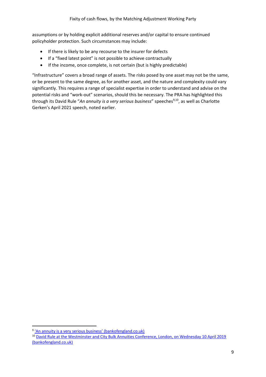assumptions or by holding explicit additional reserves and/or capital to ensure continued policyholder protection. Such circumstances may include:

- If there is likely to be any recourse to the insurer for defects
- If a "fixed latest point" is not possible to achieve contractually
- If the income, once complete, is not certain (but is highly predictable)

"Infrastructure" covers a broad range of assets. The risks posed by one asset may not be the same, or be present to the same degree, as for another asset, and the nature and complexity could vary significantly. This requires a range of specialist expertise in order to understand and advise on the potential risks and "work-out" scenarios, should this be necessary. The PRA has highlighted this through its David Rule "An annuity is a very serious business" speeches<sup>9,10</sup>, as well as Charlotte Gerken's April 2021 speech, noted earlier.

<sup>&</sup>lt;sup>9</sup> ['An annuity is a very serious business' \(bankofengland.co.uk\)](https://www.bankofengland.co.uk/-/media/boe/files/speech/2018/an-annuity-is-a-very-serious-business-speech-by-david-rule)

<sup>&</sup>lt;sup>10</sup> David Rule at the Westminster and City Bulk Annuities Conference, London, on Wednesday 10 April 2019 [\(bankofengland.co.uk\)](https://www.bankofengland.co.uk/-/media/boe/files/speech/2019/an-annuity-is-a-very-serious-business-part-two.pdf?la=en&hash=6BF86C21B2C85232A0A22D7D4D36344DF34B4610)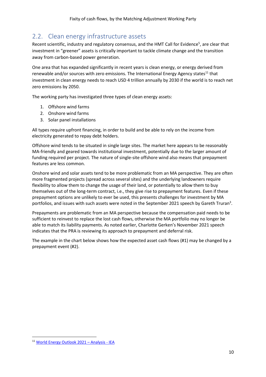## 2.2. Clean energy infrastructure assets

Recent scientific[,](#page-2-4) industry and regulatory consensus, and the HMT Call for Evidence<sup>5</sup>, are clear that investment in "greener" assets is critically important to tackle climate change and the transition away from carbon-based power generation.

One area that has expanded significantly in recent years is clean energy, or energy derived from renewable and/or sources with zero emissions. The International Energy Agency states $11$  that investment in clean energy needs to reach USD 4 trillion annually by 2030 if the world is to reach net zero emissions by 2050.

The working party has investigated three types of clean energy assets:

- 1. Offshore wind farms
- 2. Onshore wind farms
- 3. Solar panel installations

All types require upfront financing, in order to build and be able to rely on the income from electricity generated to repay debt holders.

Offshore wind tends to be situated in single large sites. The market here appears to be reasonably MA-friendly and geared towards institutional investment, potentially due to the larger amount of funding required per project. The nature of single-site offshore wind also means that prepayment features are less common.

Onshore wind and solar assets tend to be more problematic from an MA perspective. They are often more fragmented projects (spread across several sites) and the underlying landowners require flexibility to allow them to change the usage of their land, or potentially to allow them to buy themselves out of the long-term contract, i.e., they give rise to prepayment features. Even if these prepayment options are unlikely to ever be used, this presents challenges for investment by MA portfolios, and issues with such assets were noted in the September 2021 speech by Gareth Truran<sup>3</sup>[.](#page-2-2)

Prepayments are problematic from an MA perspective because the compensation paid needs to be sufficient to reinvest to replace the lost cash flows, otherwise the MA portfolio may no longer be able to match its liability payments. As noted earlier, Charlotte Gerken's November 2021 speech indicates that the PRA is reviewing its approach to prepayment and deferral risk.

The example in the chart below shows how the expected asset cash flows (#1) may be changed by a prepayment event (#2).

<sup>11</sup> [World Energy Outlook 2021](https://www.iea.org/reports/world-energy-outlook-2021) – Analysis - IEA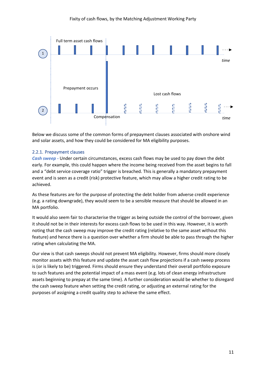

Below we discuss some of the common forms of prepayment clauses associated with onshore wind and solar assets, and how they could be considered for MA eligibility purposes.

#### 2.2.1. Prepayment clauses

*Cash sweep -* Under certain circumstances, excess cash flows may be used to pay down the debt early. For example, this could happen where the income being received from the asset begins to fall and a "debt service coverage ratio" trigger is breached. This is generally a mandatory prepayment event and is seen as a credit (risk) protective feature, which may allow a higher credit rating to be achieved.

As these features are for the purpose of protecting the debt holder from adverse credit experience (e.g. a rating downgrade), they would seem to be a sensible measure that should be allowed in an MA portfolio.

It would also seem fair to characterise the trigger as being outside the control of the borrower, given it should not be in their interests for excess cash flows to be used in this way. However, it is worth noting that the cash sweep may improve the credit rating (relative to the same asset without this feature) and hence there is a question over whether a firm should be able to pass through the higher rating when calculating the MA.

Our view is that cash sweeps should not prevent MA eligibility. However, firms should more closely monitor assets with this feature and update the asset cash flow projections if a cash sweep process is (or is likely to be) triggered. Firms should ensure they understand their overall portfolio exposure to such features and the potential impact of a mass event (e.g. lots of clean energy infrastructure assets beginning to prepay at the same time). A further consideration would be whether to disregard the cash sweep feature when setting the credit rating, or adjusting an external rating for the purposes of assigning a credit quality step to achieve the same effect.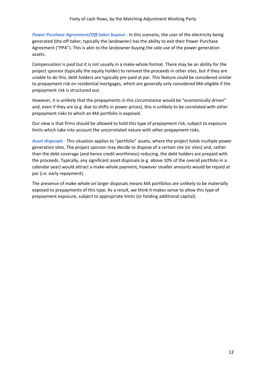*Power Purchase Agreement/Off-taker buyout -* In this scenario, the user of the electricity being generated (the off-taker; typically the landowner) has the ability to exit their Power Purchase Agreement ("PPA"). This is akin to the landowner buying the sole use of the power generation assets.

Compensation is paid but it is not usually in a make-whole format. There may be an ability for the project sponsor (typically the equity holder) to reinvest the proceeds in other sites, but if they are unable to do this, debt holders are typically pre-paid at par. This feature could be considered similar to prepayment risk on residential mortgages, which are generally only considered MA-eligible if the prepayment risk is structured out.

However, it is unlikely that the prepayments in this circumstance would be "economically driven" and, even if they are (e.g. due to shifts in power prices), this is unlikely to be correlated with other prepayment risks to which an MA portfolio is exposed.

Our view is that firms should be allowed to hold this type of prepayment risk, subject to exposure limits which take into account the uncorrelated nature with other prepayment risks.

*Asset disposals -* This situation applies to "portfolio" assets, where the project holds multiple power generation sites. The project sponsor may decide to dispose of a certain site (or sites) and, rather than the debt coverage (and hence credit worthiness) reducing, the debt holders are prepaid with the proceeds. Typically, any significant asset disposals (e.g. above 10% of the overall portfolio in a calendar year) would attract a make-whole payment, however smaller amounts would be repaid at par (i.e. early repayment).

The presence of make-whole on larger disposals means MA portfolios are unlikely to be materially exposed to prepayments of this type. As a result, we think it makes sense to allow this type of prepayment exposure, subject to appropriate limits (or holding additional capital).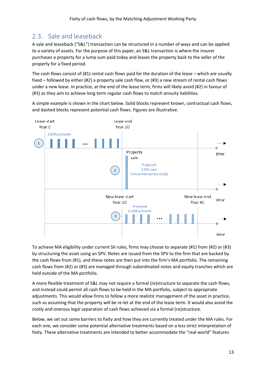## 2.3. Sale and leaseback

A sale and leaseback ("S&L") transaction can be structured in a number of ways and can be applied to a variety of assets. For the purpose of this paper, an S&L transaction is where the insurer purchases a property for a lump sum paid today and leases the property back to the seller of the property for a fixed period.

The cash flows consist of (#1) rental cash flows paid for the duration of the lease – which are usually fixed – followed by either (#2) a property sale cash flow, or (#3) a new stream of rental cash flows under a new lease. In practice, at the end of the lease term, firms will likely avoid (#2) in favour of (#3) as they aim to achieve long term regular cash flows to match annuity liabilities.

A simple example is shown in the chart below. Solid blocks represent known, contractual cash flows, and dashed blocks represent potential cash flows. Figures are illustrative.



To achieve MA eligibility under current SII rules, firms may choose to separate (#1) from (#2) or (#3) by structuring the asset using an SPV. Notes are issued from the SPV to the firm that are backed by the cash flows from (#1), and these notes are then put into the firm's MA portfolio. The remaining cash flows from (#2) or (#3) are managed through subordinated notes and equity tranches which are held outside of the MA portfolio.

A more flexible treatment of S&L may not require a formal (re)structure to separate the cash flows, and instead could permit all cash flows to be held in the MA portfolio, subject to appropriate adjustments. This would allow firms to follow a more realistic management of the asset in practice, such as assuming that the property will be re-let at the end of the lease term. It would also avoid the costly and onerous legal separation of cash flows achieved via a formal (re)structure.

Below, we set out some barriers to fixity and how they are currently treated under the MA rules. For each one, we consider some potential alternative treatments based on a less strict interpretation of fixity. These alternative treatments are intended to better accommodate the "real-world" features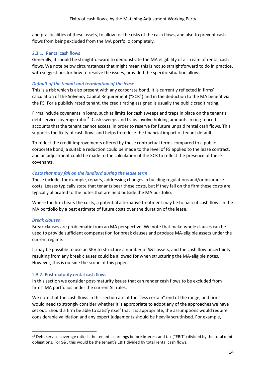and practicalities of these assets, to allow for the risks of the cash flows, and also to prevent cash flows from being excluded from the MA portfolio completely.

#### 2.3.1. Rental cash flows

Generally, it should be straightforward to demonstrate the MA eligibility of a stream of rental cash flows. We note below circumstances that might mean this is not so straightforward to do in practice, with suggestions for how to resolve the issues, provided the specific situation allows.

#### *Default of the tenant and termination of the lease*

This is a risk which is also present with any corporate bond. It is currently reflected in firms' calculation of the Solvency Capital Requirement ("SCR") and in the deduction to the MA benefit via the FS. For a publicly rated tenant, the credit rating assigned is usually the public credit rating.

Firms include covenants in loans, such as limits for cash sweeps and traps in place on the tenant's debt service coverage ratio<sup>12</sup>. Cash sweeps and traps involve holding amounts in ring-fenced accounts that the tenant cannot access, in order to reserve for future unpaid rental cash flows. This supports the fixity of cash flows and helps to reduce the financial impact of tenant default.

To reflect the credit improvements offered by these contractual terms compared to a public corporate bond, a suitable reduction could be made to the level of FS applied to the lease contract, and an adjustment could be made to the calculation of the SCR to reflect the presence of these covenants.

#### *Costs that may fall on the landlord during the lease term*

These include, for example, repairs, addressing changes in building regulations and/or insurance costs. Leases typically state that tenants bear these costs, but if they fall on the firm these costs are typically allocated to the notes that are held outside the MA portfolio.

Where the firm bears the costs, a potential alternative treatment may be to haircut cash flows in the MA portfolio by a best estimate of future costs over the duration of the lease.

#### *Break clauses*

Break clauses are problematic from an MA perspective. We note that make-whole clauses can be used to provide sufficient compensation for break clauses and produce MA-eligible assets under the current regime.

It may be possible to use an SPV to structure a number of S&L assets, and the cash flow uncertainty resulting from any break clauses could be allowed for when structuring the MA-eligible notes. However, this is outside the scope of this paper.

#### <span id="page-13-0"></span>2.3.2. Post-maturity rental cash flows

In this section we consider post-maturity issues that can render cash flows to be excluded from firms' MA portfolios under the current SII rules.

We note that the cash flows in this section are at the "less certain" end of the range, and firms would need to strongly consider whether it is appropriate to adopt any of the approaches we have set out. Should a firm be able to satisfy itself that it is appropriate, the assumptions would require considerable validation and any expert judgements should be heavily scrutinised. For example,

 $12$  Debt service coverage ratio is the tenant's earnings before interest and tax ("EBIT") divided by the total debt obligations. For S&L this would be the tenant's EBIT divided by total rental cash flows.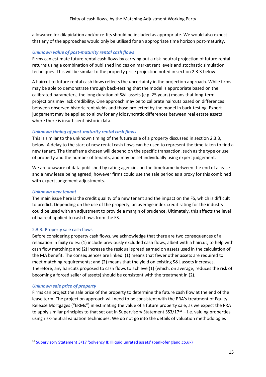allowance for dilapidation and/or re-fits should be included as appropriate. We would also expect that any of the approaches would only be utilised for an appropriate time horizon post-maturity.

#### *Unknown value of post-maturity rental cash flows*

Firms can estimate future rental cash flows by carrying out a risk-neutral projection of future rental returns using a combination of published indices on market rent levels and stochastic simulation techniques. This will be similar to the property price projection noted in sectio[n 2.3.3](#page-14-0) below.

A haircut to future rental cash flows reflects the uncertainty in the projection approach. While firms may be able to demonstrate through back-testing that the model is appropriate based on the calibrated parameters, the long duration of S&L assets (e.g. 25 years) means that long-term projections may lack credibility. One approach may be to calibrate haircuts based on differences between observed historic rent yields and those projected by the model in back-testing. Expert judgement may be applied to allow for any idiosyncratic differences between real estate assets where there is insufficient historic data.

#### *Unknown timing of post-maturity rental cash flows*

This is similar to the unknown timing of the future sale of a property discussed in section [2.3.3,](#page-14-0) below. A delay to the start of new rental cash flows can be used to represent the time taken to find a new tenant. The timeframe chosen will depend on the specific transaction, such as the type or use of property and the number of tenants, and may be set individually using expert judgement.

We are unaware of data published by rating agencies on the timeframe between the end of a lease and a new lease being agreed, however firms could use the sale period as a proxy for this combined with expert judgement adjustments.

#### *Unknown new tenant*

The main issue here is the credit quality of a new tenant and the impact on the FS, which is difficult to predict. Depending on the use of the property, an average index credit rating for the industry could be used with an adjustment to provide a margin of prudence. Ultimately, this affects the level of haircut applied to cash flows from the FS.

#### <span id="page-14-0"></span>2.3.3. Property sale cash flows

Before considering property cash flows, we acknowledge that there are two consequences of a relaxation in fixity rules: (1) include previously excluded cash flows, albeit with a haircut, to help with cash flow matching; and (2) increase the residual spread earned on assets used in the calculation of the MA benefit. The consequences are linked: (1) means that fewer other assets are required to meet matching requirements; and (2) means that the yield on existing S&L assets increases. Therefore, any haircuts proposed to cash flows to achieve (1) (which, on average, reduces the risk of becoming a forced seller of assets) should be consistent with the treatment in (2).

#### *Unknown sale price of property*

Firms can project the sale price of the property to determine the future cash flow at the end of the lease term. The projection approach will need to be consistent with the PRA's treatment of Equity Release Mortgages ("ERMs") in estimating the value of a future property sale, as we expect the PRA to apply similar principles to that set out in Supervisory Statement  $SS/17^{13}$  – i.e. valuing properties using risk-neutral valuation techniques. We do not go into the details of valuation methodologies

<sup>13</sup> Supervisory Statement 3/17 ['Solvency II: Illiquid unrated assets' \(bankofengland.co.uk\)](https://www.bankofengland.co.uk/-/media/boe/files/prudential-regulation/supervisory-statement/2020/ss317-update-april-2020.pdf)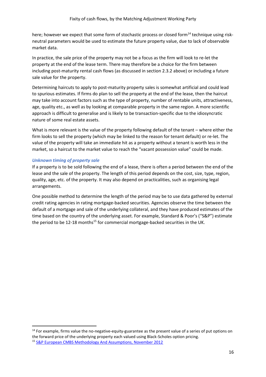here; however we expect that some form of stochastic process or closed form<sup>14</sup> technique using riskneutral parameters would be used to estimate the future property value, due to lack of observable market data.

In practice, the sale price of the property may not be a focus as the firm will look to re-let the property at the end of the lease term. There may therefore be a choice for the firm between including post-maturity rental cash flows (as discussed in section [2.3.2](#page-13-0) above) or including a future sale value for the property.

Determining haircuts to apply to post-maturity property sales is somewhat artificial and could lead to spurious estimates. If firms do plan to sell the property at the end of the lease, then the haircut may take into account factors such as the type of property, number of rentable units, attractiveness, age, quality etc., as well as by looking at comparable property in the same region. A more scientific approach is difficult to generalise and is likely to be transaction-specific due to the idiosyncratic nature of some real estate assets.

What is more relevant is the value of the property following default of the tenant – where either the firm looks to sell the property (which may be linked to the reason for tenant default) or re-let. The value of the property will take an immediate hit as a property without a tenant is worth less in the market, so a haircut to the market value to reach the "vacant possession value" could be made.

#### *Unknown timing of property sale*

If a property is to be sold following the end of a lease, there is often a period between the end of the lease and the sale of the property. The length of this period depends on the cost, size, type, region, quality, age, etc. of the property. It may also depend on practicalities, such as organising legal arrangements.

One possible method to determine the length of the period may be to use data gathered by external credit rating agencies in rating mortgage-backed securities. Agencies observe the time between the default of a mortgage and sale of the underlying collateral, and they have produced estimates of the time based on the country of the underlying asset. For example, Standard & Poor's ("S&P") estimate the period to be 12-18 months<sup>15</sup> for commercial mortgage-backed securities in the UK.

<sup>&</sup>lt;sup>14</sup> For example, firms value the no-negative-equity-guarantee as the present value of a series of put options on the forward price of the underlying property each valued using Black-Scholes option pricing. <sup>15</sup> [S&P European CMBS Methodology And Assumptions, November 2012](https://www.maalot.co.il/Publications/MT20150111122815.pdf)